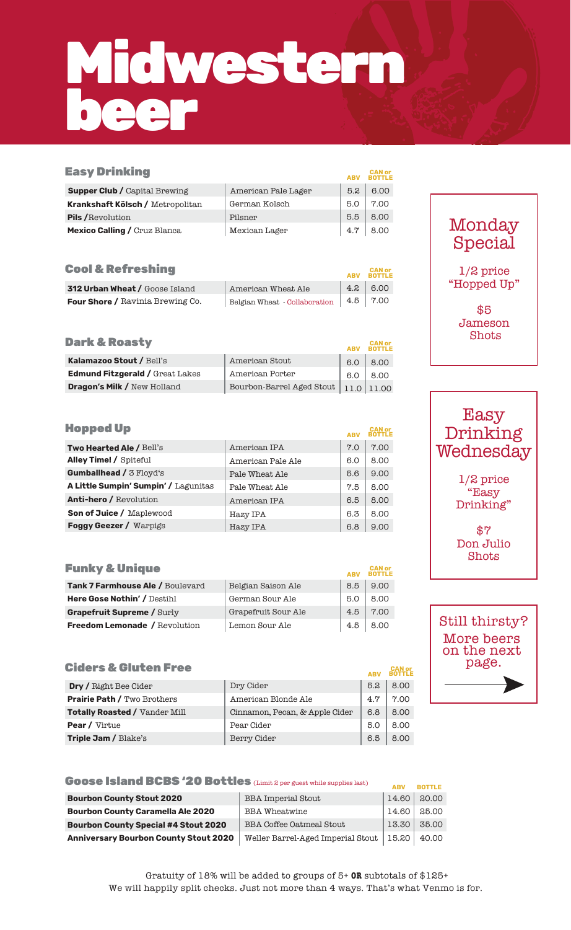# Midwestern beer

| <b>Easy Drinking</b>                    |                               | <b>ABV</b> | <b>CAN or</b>            |
|-----------------------------------------|-------------------------------|------------|--------------------------|
| <b>Supper Club / Capital Brewing</b>    | American Pale Lager           | 5.2        | 6.00                     |
| <b>Krankshaft Kölsch / Metropolitan</b> | German Kolsch                 | 5.0        | 7.00                     |
| <b>Pils/Revolution</b>                  | Pilsner                       | 5.5        | 8.00                     |
| Mexico Calling / Cruz Blanca            | Mexican Lager                 | 4.7        | 8.00                     |
|                                         |                               |            |                          |
| <b>Cool &amp; Refreshing</b>            |                               | <b>ABV</b> | <b>CAN or<br/>BOTTLE</b> |
| <b>312 Urban Wheat / Goose Island</b>   | American Wheat Ale            | 4.2        | 6.00                     |
| <b>Four Shore / Ravinia Brewing Co.</b> | Belgian Wheat - Collaboration | 4.5        | 7.00                     |
| <b>Dark &amp; Roasty</b>                |                               | <b>ABV</b> | <b>CAN or<br/>BOTTLE</b> |
| Kalamazoo Stout / Bell's                | American Stout                | 6.0        | 8.00                     |
| <b>Edmund Fitzgerald / Great Lakes</b>  | American Porter               | 6.0        | 8.00                     |
| <b>Dragon's Milk / New Holland</b>      | Bourbon-Barrel Aged Stout     | 11.0       | 11.00                    |
|                                         |                               |            |                          |
| <b>Hopped Up</b>                        |                               | <b>ABV</b> | CAN or                   |
| <b>Two Hearted Ale / Bell's</b>         | American IPA                  | 7.0        | 7.00                     |
| <b>Alley Time! / Spiteful</b>           | American Pale Ale             | 6.0        | 8.00                     |
| <b>Gumballhead / 3 Floyd's</b>          | Pale Wheat Ale                | 5.6        | 9.00                     |
|                                         |                               |            |                          |

| <b>Gumballhead / 3 Floyd's</b>       | Pale Wheat Ale | 5.6 | 9.00 |
|--------------------------------------|----------------|-----|------|
| A Little Sumpin' Sumpin' / Lagunitas | Pale Wheat Ale | 7.5 | 8.00 |
| <b>Anti-hero / Revolution</b>        | American IPA   | 6.5 | 8.00 |
| Son of Juice / Maplewood             | Hazy IPA       | 6.3 | 8.00 |
| <b>Foggy Geezer / Warpigs</b>        | Hazy IPA       | 6.8 | 9.00 |

| <b>Funky &amp; Unique</b>            |                     | <b>ABV</b> | <b>CAN or</b><br><b>BOTTLE</b> |
|--------------------------------------|---------------------|------------|--------------------------------|
| Tank 7 Farmhouse Ale / Boulevard     | Belgian Saison Ale  | 8.5        | 9.00                           |
| <b>Here Gose Nothin' / Destihl</b>   | German Sour Ale     | 5.0        | 8.00                           |
| <b>Grapefruit Supreme / Surly</b>    | Grapefruit Sour Ale | 4.5        | 7.00                           |
| <b>Freedom Lemonade / Revolution</b> | Lemon Sour Ale      | 4.5        | 8.00                           |

### **Ciders & Gluten Free**

| Cigers & Giuten Free                 |                                | <b>ABV</b> | CAN or<br><b>BOTTLE</b> |
|--------------------------------------|--------------------------------|------------|-------------------------|
| <b>Dry /</b> Right Bee Cider         | Dry Cider                      | 5.2        | 8.00                    |
| <b>Prairie Path / Two Brothers</b>   | American Blonde Ale            | 4.7        | 7.00                    |
| <b>Totally Roasted / Vander Mill</b> | Cinnamon, Pecan, & Apple Cider | 6.8        | 8.00                    |
| <b>Pear / Virtue</b>                 | Pear Cider                     | 5.0        | 8.00                    |
| Triple Jam / Blake's                 | Berry Cider                    | 6.5        | 8.00                    |

| <b>Goose Island BCBS '20 Bottles</b> (Limit 2 per guest while supplies last) |                                   | <b>ABV</b> | <b>BOTTLE</b> |
|------------------------------------------------------------------------------|-----------------------------------|------------|---------------|
| <b>Bourbon County Stout 2020</b>                                             | <b>BBA Imperial Stout</b>         | 14.60      | 20.00         |
| <b>Bourbon County Caramella Ale 2020</b>                                     | <b>BBA</b> Wheatwine              | 14.60      | 25.00         |
| <b>Bourbon County Special #4 Stout 2020</b>                                  | <b>BBA Coffee Oatmeal Stout</b>   | 13.30      | 35.00         |
| <b>Anniversary Bourbon County Stout 2020</b>                                 | Weller Barrel-Aged Imperial Stout | 15.20      | 40.00         |

### Monday Special

1/2 price "Hopped Up"

> \$5 Jameson Shots

Easy Drinking **Wednesday** 

> 1/2 price "Easy Drinking"

\$7 Don Julio Shots

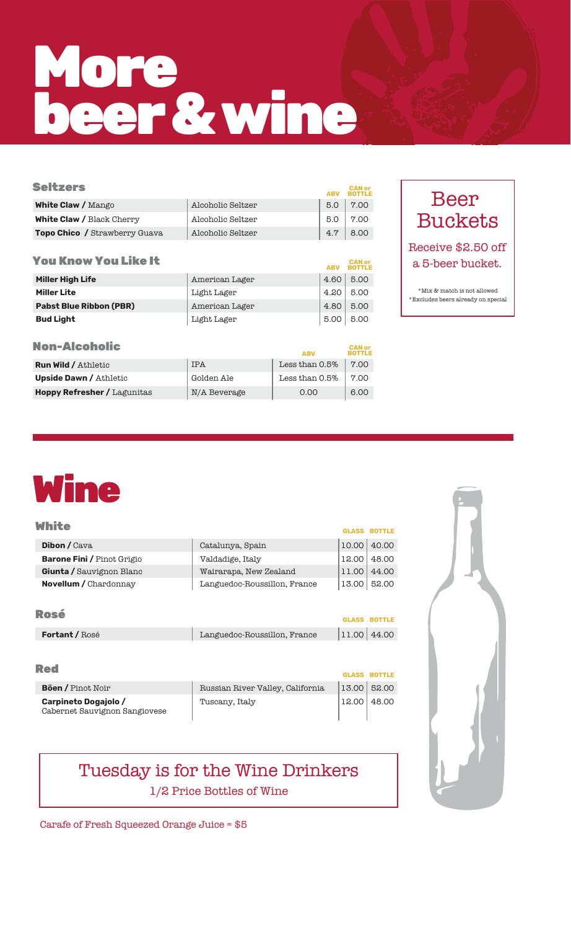# More beer &wine

| <b>Seltzers</b>                      |                   |     | <b>CAN or</b><br><b>BOTTLE</b> |
|--------------------------------------|-------------------|-----|--------------------------------|
| <b>White Claw / Mango</b>            | Alcoholic Seltzer | 5.0 | 7.00                           |
| <b>White Claw / Black Cherry</b>     | Alcoholic Seltzer | 5.0 | 7.00                           |
| <b>Topo Chico</b> / Strawberry Guava | Alcoholic Seltzer | 4.7 | 8.00                           |
|                                      |                   |     |                                |

| <b>You Know You Like It</b>    |                | <b>ABV</b> | <b>CAN or<br/>BOTTLE</b> |
|--------------------------------|----------------|------------|--------------------------|
| <b>Miller High Life</b>        | American Lager | 4.60       | 5.00                     |
| <b>Miller Lite</b>             | Light Lager    | 4.20       | 5.00                     |
| <b>Pabst Blue Ribbon (PBR)</b> | American Lager | 4.80       | 5.00                     |
| <b>Bud Light</b>               | Light Lager    | 5.00       | 5.00                     |

| Non-Alcoholic |  |
|---------------|--|
|               |  |

| NON-AICONOIIC                      |              | <b>ABV</b>     | <b>BOTTLE</b> |
|------------------------------------|--------------|----------------|---------------|
| <b>Run Wild / Athletic</b>         | <b>IPA</b>   | Less than 0.5% | 7.00          |
| <b>Upside Dawn / Athletic</b>      | Golden Ale   | Less than 0.5% | 7.00          |
| <b>Hoppy Refresher / Lagunitas</b> | N/A Beverage | 0.00           | 6.00          |

### Beer Buckets

Receive \$2.50 off a 5-beer bucket.

\*Excludes beers already on special  $^{\ast}\rm{Mix}$  & match is not allowed

## Wine

| White                             |                              |       | <b>GLASS BOTTLE</b> |
|-----------------------------------|------------------------------|-------|---------------------|
| <b>Dibon</b> / Cava               | Catalunya, Spain             | 10.00 | 40.00               |
| <b>Barone Fini / Pinot Grigio</b> | Valdadige, Italy             | 12.00 | 48.00               |
| Giunta / Sauvignon Blanc          | Wairarapa, New Zealand       | 11.00 | 44.00               |
| <b>Novellum / Chardonnay</b>      | Languedoc-Roussillon, France | 13.00 | 52.00               |
|                                   |                              |       |                     |
| Rosé                              |                              |       | GLASS ROTTLE        |

| -----                 |                              | <b>GLASS BOTTLE</b> |  |
|-----------------------|------------------------------|---------------------|--|
| <b>Fortant / Rosé</b> | Languedoc-Roussillon, France | 11.00 44.00         |  |

| . .<br>. .<br>_____ |  |
|---------------------|--|
|                     |  |

|                                                       |                                  |                 | <b>GLASS BOTTLE</b> |
|-------------------------------------------------------|----------------------------------|-----------------|---------------------|
| <b>Böen / Pinot Noir</b>                              | Russian River Valley, California | $13.00$ $52.00$ |                     |
| Carpineto Dogajolo /<br>Cabernet Sauvignon Sangiovese | Tuscany, Italy                   | 12.00   48.00   |                     |

### Tuesday is for the Wine Drinkers 1/2 Price Bottles of Wine



Carafe of Fresh Squeezed Orange Juice = \$5